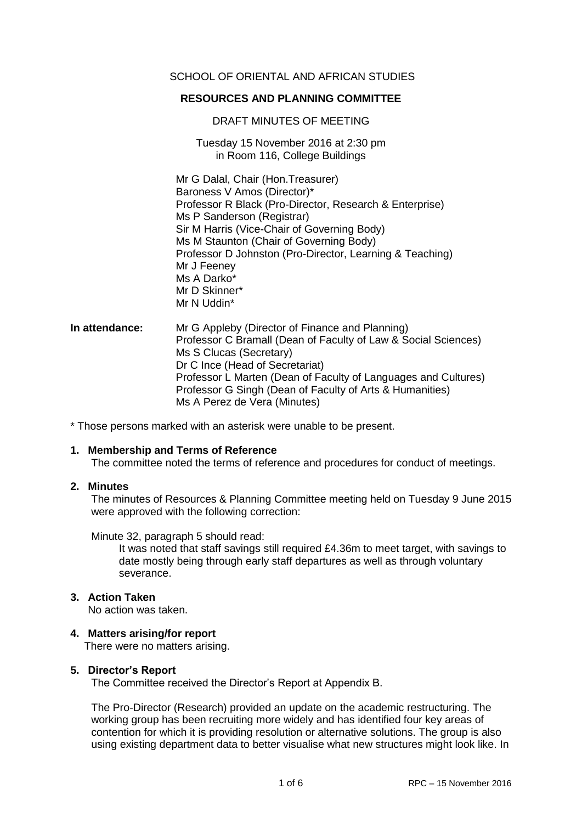# SCHOOL OF ORIENTAL AND AFRICAN STUDIES

# **RESOURCES AND PLANNING COMMITTEE**

## DRAFT MINUTES OF MEETING

Tuesday 15 November 2016 at 2:30 pm in Room 116, College Buildings

Mr G Dalal, Chair (Hon.Treasurer) Baroness V Amos (Director)\* Professor R Black (Pro-Director, Research & Enterprise) Ms P Sanderson (Registrar) Sir M Harris (Vice-Chair of Governing Body) Ms M Staunton (Chair of Governing Body) Professor D Johnston (Pro-Director, Learning & Teaching) Mr J Feeney Ms A Darko\* Mr D Skinner\* Mr N Uddin\*

**In attendance:** Mr G Appleby (Director of Finance and Planning) Professor C Bramall (Dean of Faculty of Law & Social Sciences) Ms S Clucas (Secretary) Dr C Ince (Head of Secretariat) Professor L Marten (Dean of Faculty of Languages and Cultures) Professor G Singh (Dean of Faculty of Arts & Humanities) Ms A Perez de Vera (Minutes)

\* Those persons marked with an asterisk were unable to be present.

## **1. Membership and Terms of Reference**

The committee noted the terms of reference and procedures for conduct of meetings.

# **2. Minutes**

The minutes of Resources & Planning Committee meeting held on Tuesday 9 June 2015 were approved with the following correction:

Minute 32, paragraph 5 should read:

It was noted that staff savings still required £4.36m to meet target, with savings to date mostly being through early staff departures as well as through voluntary severance.

# **3. Action Taken**

No action was taken.

## **4. Matters arising/for report**

There were no matters arising.

## **5. Director's Report**

The Committee received the Director's Report at Appendix B.

The Pro-Director (Research) provided an update on the academic restructuring. The working group has been recruiting more widely and has identified four key areas of contention for which it is providing resolution or alternative solutions. The group is also using existing department data to better visualise what new structures might look like. In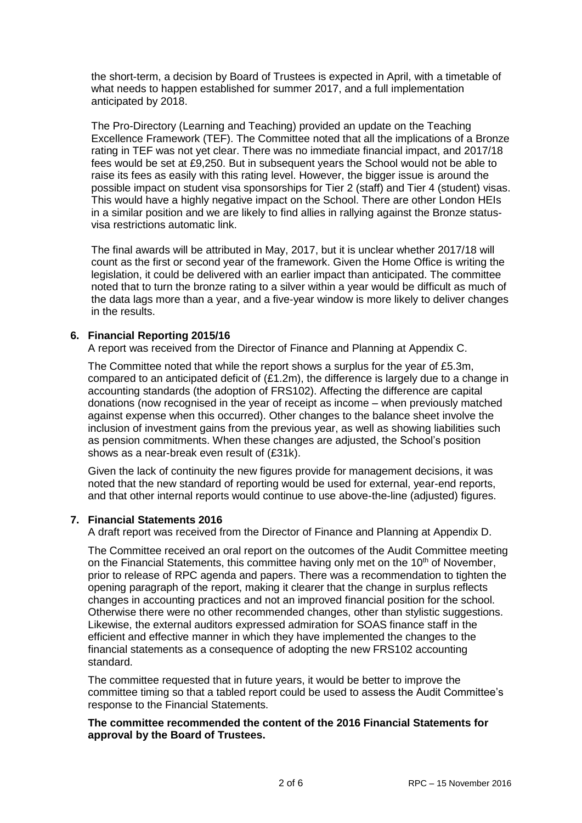the short-term, a decision by Board of Trustees is expected in April, with a timetable of what needs to happen established for summer 2017, and a full implementation anticipated by 2018.

The Pro-Directory (Learning and Teaching) provided an update on the Teaching Excellence Framework (TEF). The Committee noted that all the implications of a Bronze rating in TEF was not yet clear. There was no immediate financial impact, and 2017/18 fees would be set at £9,250. But in subsequent years the School would not be able to raise its fees as easily with this rating level. However, the bigger issue is around the possible impact on student visa sponsorships for Tier 2 (staff) and Tier 4 (student) visas. This would have a highly negative impact on the School. There are other London HEIs in a similar position and we are likely to find allies in rallying against the Bronze statusvisa restrictions automatic link.

The final awards will be attributed in May, 2017, but it is unclear whether 2017/18 will count as the first or second year of the framework. Given the Home Office is writing the legislation, it could be delivered with an earlier impact than anticipated. The committee noted that to turn the bronze rating to a silver within a year would be difficult as much of the data lags more than a year, and a five-year window is more likely to deliver changes in the results.

# **6. Financial Reporting 2015/16**

A report was received from the Director of Finance and Planning at Appendix C.

The Committee noted that while the report shows a surplus for the year of £5.3m, compared to an anticipated deficit of (£1.2m), the difference is largely due to a change in accounting standards (the adoption of FRS102). Affecting the difference are capital donations (now recognised in the year of receipt as income – when previously matched against expense when this occurred). Other changes to the balance sheet involve the inclusion of investment gains from the previous year, as well as showing liabilities such as pension commitments. When these changes are adjusted, the School's position shows as a near-break even result of (£31k).

Given the lack of continuity the new figures provide for management decisions, it was noted that the new standard of reporting would be used for external, year-end reports, and that other internal reports would continue to use above-the-line (adjusted) figures.

## **7. Financial Statements 2016**

A draft report was received from the Director of Finance and Planning at Appendix D.

The Committee received an oral report on the outcomes of the Audit Committee meeting on the Financial Statements, this committee having only met on the  $10<sup>th</sup>$  of November, prior to release of RPC agenda and papers. There was a recommendation to tighten the opening paragraph of the report, making it clearer that the change in surplus reflects changes in accounting practices and not an improved financial position for the school. Otherwise there were no other recommended changes, other than stylistic suggestions. Likewise, the external auditors expressed admiration for SOAS finance staff in the efficient and effective manner in which they have implemented the changes to the financial statements as a consequence of adopting the new FRS102 accounting standard.

The committee requested that in future years, it would be better to improve the committee timing so that a tabled report could be used to assess the Audit Committee's response to the Financial Statements.

# **The committee recommended the content of the 2016 Financial Statements for approval by the Board of Trustees.**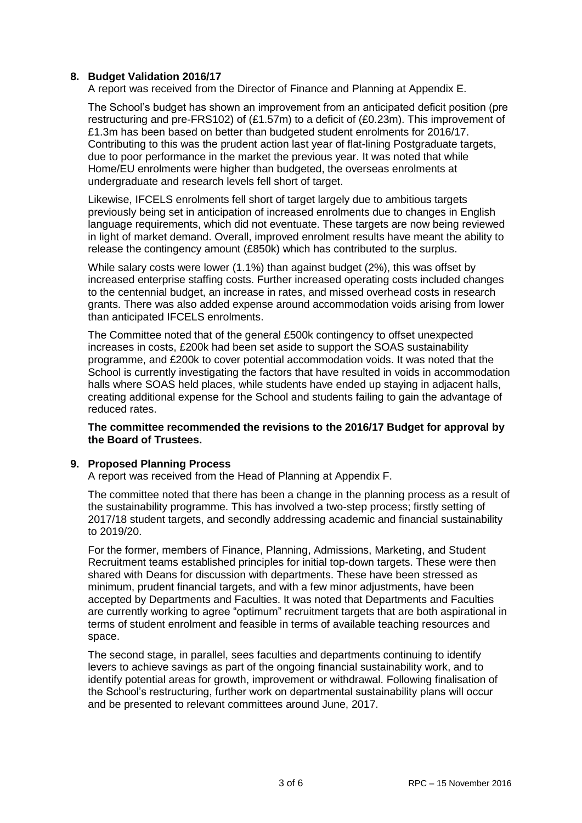# **8. Budget Validation 2016/17**

A report was received from the Director of Finance and Planning at Appendix E.

The School's budget has shown an improvement from an anticipated deficit position (pre restructuring and pre-FRS102) of (£1.57m) to a deficit of (£0.23m). This improvement of £1.3m has been based on better than budgeted student enrolments for 2016/17. Contributing to this was the prudent action last year of flat-lining Postgraduate targets, due to poor performance in the market the previous year. It was noted that while Home/EU enrolments were higher than budgeted, the overseas enrolments at undergraduate and research levels fell short of target.

Likewise, IFCELS enrolments fell short of target largely due to ambitious targets previously being set in anticipation of increased enrolments due to changes in English language requirements, which did not eventuate. These targets are now being reviewed in light of market demand. Overall, improved enrolment results have meant the ability to release the contingency amount (£850k) which has contributed to the surplus.

While salary costs were lower (1.1%) than against budget (2%), this was offset by increased enterprise staffing costs. Further increased operating costs included changes to the centennial budget, an increase in rates, and missed overhead costs in research grants. There was also added expense around accommodation voids arising from lower than anticipated IFCELS enrolments.

The Committee noted that of the general £500k contingency to offset unexpected increases in costs, £200k had been set aside to support the SOAS sustainability programme, and £200k to cover potential accommodation voids. It was noted that the School is currently investigating the factors that have resulted in voids in accommodation halls where SOAS held places, while students have ended up staying in adjacent halls, creating additional expense for the School and students failing to gain the advantage of reduced rates.

# **The committee recommended the revisions to the 2016/17 Budget for approval by the Board of Trustees.**

# **9. Proposed Planning Process**

A report was received from the Head of Planning at Appendix F.

The committee noted that there has been a change in the planning process as a result of the sustainability programme. This has involved a two-step process; firstly setting of 2017/18 student targets, and secondly addressing academic and financial sustainability to 2019/20.

For the former, members of Finance, Planning, Admissions, Marketing, and Student Recruitment teams established principles for initial top-down targets. These were then shared with Deans for discussion with departments. These have been stressed as minimum, prudent financial targets, and with a few minor adjustments, have been accepted by Departments and Faculties. It was noted that Departments and Faculties are currently working to agree "optimum" recruitment targets that are both aspirational in terms of student enrolment and feasible in terms of available teaching resources and space.

The second stage, in parallel, sees faculties and departments continuing to identify levers to achieve savings as part of the ongoing financial sustainability work, and to identify potential areas for growth, improvement or withdrawal. Following finalisation of the School's restructuring, further work on departmental sustainability plans will occur and be presented to relevant committees around June, 2017.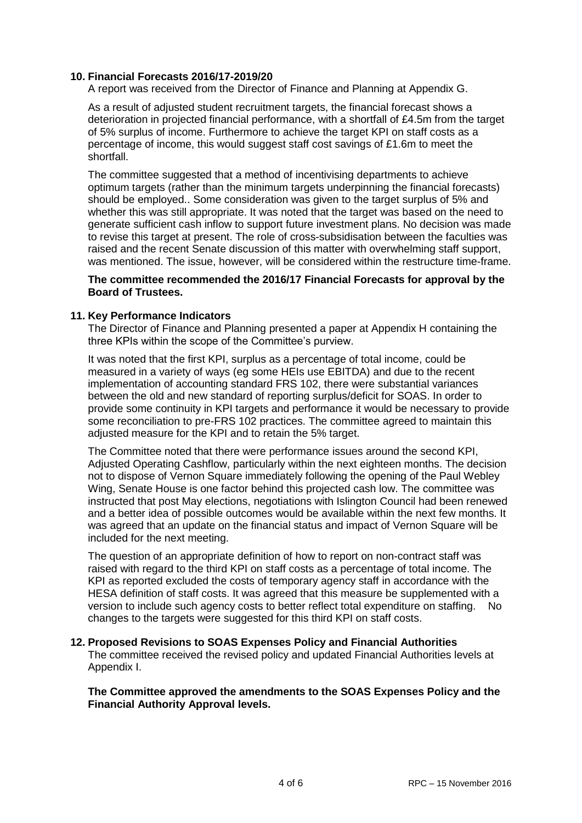# **10. Financial Forecasts 2016/17-2019/20**

A report was received from the Director of Finance and Planning at Appendix G.

As a result of adjusted student recruitment targets, the financial forecast shows a deterioration in projected financial performance, with a shortfall of £4.5m from the target of 5% surplus of income. Furthermore to achieve the target KPI on staff costs as a percentage of income, this would suggest staff cost savings of £1.6m to meet the shortfall.

The committee suggested that a method of incentivising departments to achieve optimum targets (rather than the minimum targets underpinning the financial forecasts) should be employed.. Some consideration was given to the target surplus of 5% and whether this was still appropriate. It was noted that the target was based on the need to generate sufficient cash inflow to support future investment plans. No decision was made to revise this target at present. The role of cross-subsidisation between the faculties was raised and the recent Senate discussion of this matter with overwhelming staff support, was mentioned. The issue, however, will be considered within the restructure time-frame.

## **The committee recommended the 2016/17 Financial Forecasts for approval by the Board of Trustees.**

# **11. Key Performance Indicators**

The Director of Finance and Planning presented a paper at Appendix H containing the three KPIs within the scope of the Committee's purview.

It was noted that the first KPI, surplus as a percentage of total income, could be measured in a variety of ways (eg some HEIs use EBITDA) and due to the recent implementation of accounting standard FRS 102, there were substantial variances between the old and new standard of reporting surplus/deficit for SOAS. In order to provide some continuity in KPI targets and performance it would be necessary to provide some reconciliation to pre-FRS 102 practices. The committee agreed to maintain this adjusted measure for the KPI and to retain the 5% target.

The Committee noted that there were performance issues around the second KPI, Adjusted Operating Cashflow, particularly within the next eighteen months. The decision not to dispose of Vernon Square immediately following the opening of the Paul Webley Wing, Senate House is one factor behind this projected cash low. The committee was instructed that post May elections, negotiations with Islington Council had been renewed and a better idea of possible outcomes would be available within the next few months. It was agreed that an update on the financial status and impact of Vernon Square will be included for the next meeting.

The question of an appropriate definition of how to report on non-contract staff was raised with regard to the third KPI on staff costs as a percentage of total income. The KPI as reported excluded the costs of temporary agency staff in accordance with the HESA definition of staff costs. It was agreed that this measure be supplemented with a version to include such agency costs to better reflect total expenditure on staffing. No changes to the targets were suggested for this third KPI on staff costs.

## **12. Proposed Revisions to SOAS Expenses Policy and Financial Authorities**

The committee received the revised policy and updated Financial Authorities levels at Appendix I.

## **The Committee approved the amendments to the SOAS Expenses Policy and the Financial Authority Approval levels.**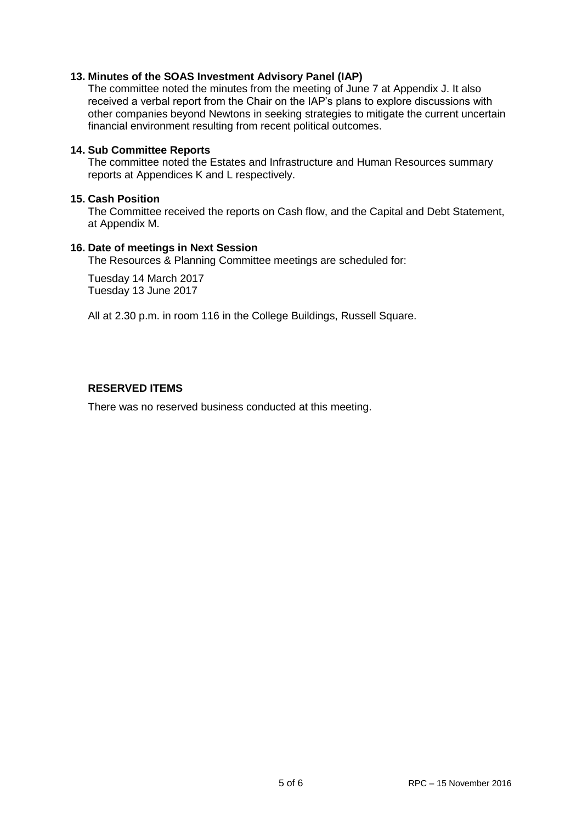# **13. Minutes of the SOAS Investment Advisory Panel (IAP)**

The committee noted the minutes from the meeting of June 7 at Appendix J. It also received a verbal report from the Chair on the IAP's plans to explore discussions with other companies beyond Newtons in seeking strategies to mitigate the current uncertain financial environment resulting from recent political outcomes.

## **14. Sub Committee Reports**

The committee noted the Estates and Infrastructure and Human Resources summary reports at Appendices K and L respectively.

# **15. Cash Position**

The Committee received the reports on Cash flow, and the Capital and Debt Statement, at Appendix M.

## **16. Date of meetings in Next Session**

The Resources & Planning Committee meetings are scheduled for:

Tuesday 14 March 2017 Tuesday 13 June 2017

All at 2.30 p.m. in room 116 in the College Buildings, Russell Square.

# **RESERVED ITEMS**

There was no reserved business conducted at this meeting.